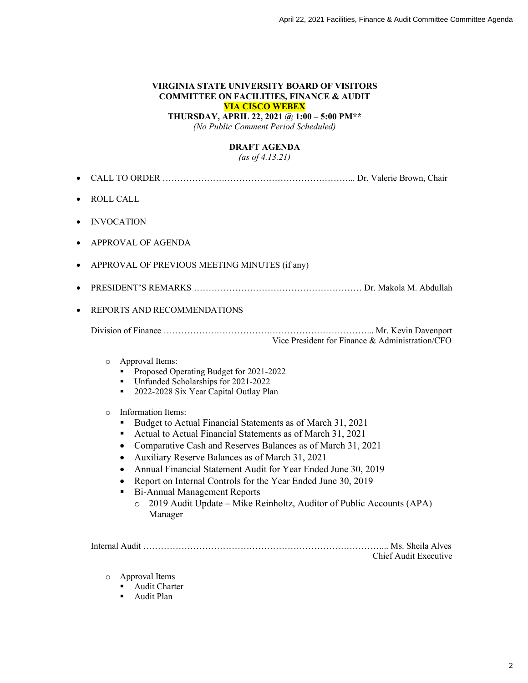### **VIRGINIA STATE UNIVERSITY BOARD OF VISITORS COMMITTEE ON FACILITIES, FINANCE & AUDIT VIA CISCO WEBEX**

**THURSDAY, APRIL 22, 2021 @ 1:00 – 5:00 PM\*\***

*(No Public Comment Period Scheduled)*

# **DRAFT AGENDA**

*(as of 4.13.21)*

| $\bullet$ | <b>ROLL CALL</b>                                                                                                                                                                                                                                                                                                                                                                                                                                                                                                                                                                                                                                                                                                                                  |  |
|-----------|---------------------------------------------------------------------------------------------------------------------------------------------------------------------------------------------------------------------------------------------------------------------------------------------------------------------------------------------------------------------------------------------------------------------------------------------------------------------------------------------------------------------------------------------------------------------------------------------------------------------------------------------------------------------------------------------------------------------------------------------------|--|
|           | <b>INVOCATION</b>                                                                                                                                                                                                                                                                                                                                                                                                                                                                                                                                                                                                                                                                                                                                 |  |
|           | APPROVAL OF AGENDA                                                                                                                                                                                                                                                                                                                                                                                                                                                                                                                                                                                                                                                                                                                                |  |
|           | APPROVAL OF PREVIOUS MEETING MINUTES (if any)                                                                                                                                                                                                                                                                                                                                                                                                                                                                                                                                                                                                                                                                                                     |  |
|           |                                                                                                                                                                                                                                                                                                                                                                                                                                                                                                                                                                                                                                                                                                                                                   |  |
|           | REPORTS AND RECOMMENDATIONS                                                                                                                                                                                                                                                                                                                                                                                                                                                                                                                                                                                                                                                                                                                       |  |
|           | Vice President for Finance & Administration/CFO                                                                                                                                                                                                                                                                                                                                                                                                                                                                                                                                                                                                                                                                                                   |  |
|           | Approval Items:<br>$\circ$<br>Proposed Operating Budget for 2021-2022<br>Unfunded Scholarships for 2021-2022<br>2022-2028 Six Year Capital Outlay Plan<br>п<br>Information Items:<br>$\circ$<br>Budget to Actual Financial Statements as of March 31, 2021<br>Actual to Actual Financial Statements as of March 31, 2021<br>٠<br>Comparative Cash and Reserves Balances as of March 31, 2021<br>٠<br>Auxiliary Reserve Balances as of March 31, 2021<br>٠<br>Annual Financial Statement Audit for Year Ended June 30, 2019<br>$\bullet$<br>Report on Internal Controls for the Year Ended June 30, 2019<br><b>Bi-Annual Management Reports</b><br>٠<br>2019 Audit Update - Mike Reinholtz, Auditor of Public Accounts (APA)<br>$\circ$<br>Manager |  |

| Chief Audit Executive |
|-----------------------|

- o Approval Items
	- $\n **Aut Chapter**\n$
	- **Audit Plan**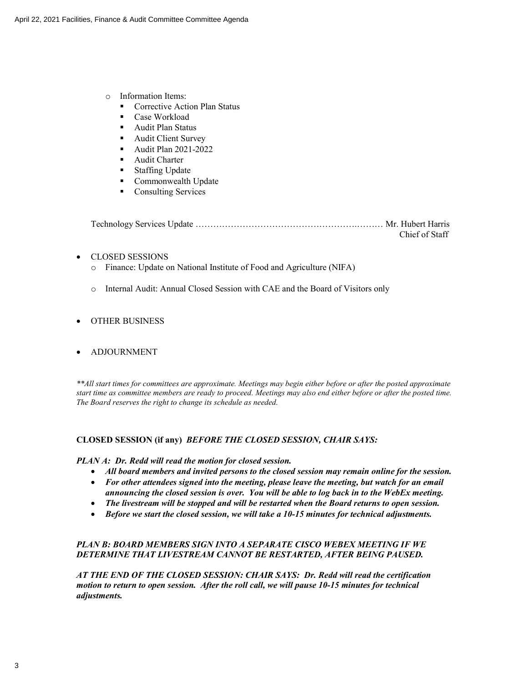- o Information Items:
	- Corrective Action Plan Status
	- ß Case Workload
	- **B** Audit Plan Status
	- Audit Client Survey
	- **Audit Plan 2021-2022**
	- Audit Charter
	- **Staffing Update**
	- **Commonwealth Update**
	- Consulting Services

Technology Services Update ……………………………………………….……… Mr. Hubert Harris Chief of Staff

- ∑ CLOSED SESSIONS
	- o Finance: Update on National Institute of Food and Agriculture (NIFA)
	- o Internal Audit: Annual Closed Session with CAE and the Board of Visitors only

## ∑ OTHER BUSINESS

### ● ADJOURNMENT

*\*\*All start times for committees are approximate. Meetings may begin either before or after the posted approximate start time as committee members are ready to proceed. Meetings may also end either before or after the posted time. The Board reserves the right to change its schedule as needed.*

### **CLOSED SESSION (if any)** *BEFORE THE CLOSED SESSION, CHAIR SAYS:*

### *PLAN A: Dr. Redd will read the motion for closed session.*

- ∑ *All board members and invited persons to the closed session may remain online for the session.*
- ∑ *For other attendees signed into the meeting, please leave the meeting, but watch for an email announcing the closed session is over. You will be able to log back in to the WebEx meeting.*
- ∑ *The livestream will be stopped and will be restarted when the Board returns to open session.*
- ∑ *Before we start the closed session, we will take a 10-15 minutes for technical adjustments.*

## *PLAN B: BOARD MEMBERS SIGN INTO A SEPARATE CISCO WEBEX MEETING IF WE DETERMINE THAT LIVESTREAM CANNOT BE RESTARTED, AFTER BEING PAUSED.*

*AT THE END OF THE CLOSED SESSION: CHAIR SAYS: Dr. Redd will read the certification motion to return to open session. After the roll call, we will pause 10-15 minutes for technical adjustments.*